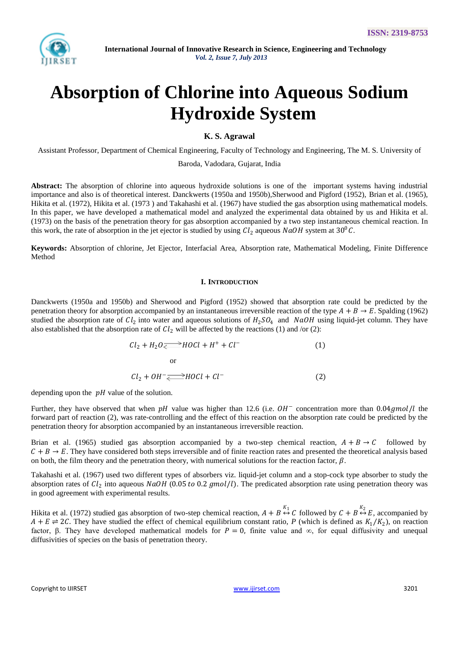

# **Absorption of Chlorine into Aqueous Sodium Hydroxide System**

# **K. S. Agrawal**

Assistant Professor, Department of Chemical Engineering, Faculty of Technology and Engineering, The M. S. University of Baroda, Vadodara, Gujarat, India

**Abstract:** The absorption of chlorine into aqueous hydroxide solutions is one of the important systems having industrial importance and also is of theoretical interest. Danckwerts (1950a and 1950b),Sherwood and Pigford (1952), Brian et al. (1965), Hikita et al. (1972), Hikita et al. (1973 ) and Takahashi et al. (1967) have studied the gas absorption using mathematical models. In this paper, we have developed a mathematical model and analyzed the experimental data obtained by us and Hikita et al. (1973) on the basis of the penetration theory for gas absorption accompanied by a two step instantaneous chemical reaction. In this work, the rate of absorption in the jet ejector is studied by using  $Cl_2$  aqueous  $NaOH$  system at  $30^0C$ .

**Keywords:** Absorption of chlorine, Jet Ejector, Interfacial Area, Absorption rate, Mathematical Modeling, Finite Difference Method

## **I. INTRODUCTION**

Danckwerts (1950a and 1950b) and Sherwood and Pigford (1952) showed that absorption rate could be predicted by the penetration theory for absorption accompanied by an instantaneous irreversible reaction of the type  $A + B \rightarrow E$ . Spalding (1962) studied the absorption rate of  $Cl_2$  into water and aqueous solutions of  $H_2SO_4$  and NaOH using liquid-jet column. They have also established that the absorption rate of  $Cl_2$  will be affected by the reactions (1) and /or (2):

$$
Cl2 + H2O \rightleftharpoons HOCl + H+ + Cl-
$$
  
or  

$$
Cl2 + OH- \rightleftharpoons HOCl + Cl-
$$
 (2)

depending upon the  $pH$  value of the solution.

Further, they have observed that when  $pH$  value was higher than 12.6 (i.e.  $OH^-$  concentration more than 0.04gmol/l the forward part of reaction (2), was rate-controlling and the effect of this reaction on the absorption rate could be predicted by the penetration theory for absorption accompanied by an instantaneous irreversible reaction.

Brian et al. (1965) studied gas absorption accompanied by a two-step chemical reaction,  $A + B \rightarrow C$  followed by  $C + B \rightarrow E$ . They have considered both steps irreversible and of finite reaction rates and presented the theoretical analysis based on both, the film theory and the penetration theory, with numerical solutions for the reaction factor,  $\beta$ .

Takahashi et al. (1967) used two different types of absorbers viz. liquid-jet column and a stop-cock type absorber to study the absorption rates of  $Cl_2$  into aqueous  $NaOH$  (0.05 to 0.2 gmol/l). The predicated absorption rate using penetration theory was in good agreement with experimental results.

Hikita et al. (1972) studied gas absorption of two-step chemical reaction,  $A + B \leftrightarrow C$  followed by  $C + B \leftrightarrow E$ , accompanied by  $A + E \rightleftharpoons 2C$ . They have studied the effect of chemical equilibrium constant ratio, *P* (which is defined as  $K_1/K_2$ ), on reaction factor, β. They have developed mathematical models for  $P = 0$ , finite value and  $\infty$ , for equal diffusivity and unequal diffusivities of species on the basis of penetration theory.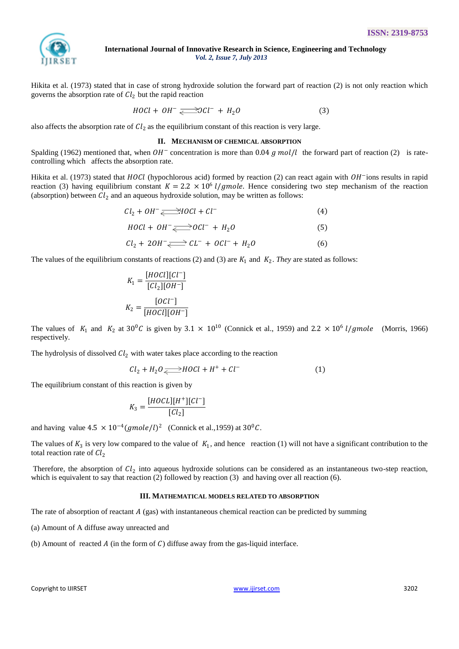

Hikita et al. (1973) stated that in case of strong hydroxide solution the forward part of reaction (2) is not only reaction which governs the absorption rate of  $Cl_2$  but the rapid reaction

$$
H O Cl + OH^- \xrightarrow{\longrightarrow} O Cl^- + H_2 O \tag{3}
$$

also affects the absorption rate of  $Cl_2$  as the equilibrium constant of this reaction is very large.

#### **II. MECHANISM OF CHEMICAL ABSORPTION**

Spalding (1962) mentioned that, when  $OH^-$  concentration is more than 0.04 g mol/l the forward part of reaction (2) is ratecontrolling which affects the absorption rate.

Hikita et al. (1973) stated that  $H O Cl$  (hypochlorous acid) formed by reaction (2) can react again with  $OH^-$ ions results in rapid reaction (3) having equilibrium constant  $K = 2.2 \times 10^6$  *l/gmole*. Hence considering two step mechanism of the reaction (absorption) between  $Cl_2$  and an aqueous hydroxide solution, may be written as follows:

$$
Cl_2 + OH^- \longrightarrow HOCl + Cl^-
$$
 (4)

$$
H O Cl + OH^- \longrightarrow O Cl^- + H_2 O \tag{5}
$$

$$
Cl_2 + 2OH^- \longrightarrow CL^- + OCl^- + H_2O \tag{6}
$$

The values of the equilibrium constants of reactions (2) and (3) are  $K_1$  and  $K_2$ . *They* are stated as follows:

$$
K_1 = \frac{[HOC1][Cl^-]}{[Cl_2][OH^-]}
$$

$$
K_2 = \frac{[OC1^-]}{[HOC1][OH^-]}
$$

The values of  $K_1$  and  $K_2$  at 30<sup>0</sup>C is given by 3.1  $\times$  10<sup>10</sup> (Connick et al., 1959) and 2.2  $\times$  10<sup>6</sup> *l/gmole* (Morris, 1966) respectively.

The hydrolysis of dissolved  $Cl_2$  with water takes place according to the reaction

$$
Cl_2 + H_2O \longrightarrow HOCl + H^+ + Cl^-
$$
 (1)

The equilibrium constant of this reaction is given by

$$
K_3 = \frac{[H O CL][H^+][Cl^-]}{[Cl_2]}
$$

and having value  $4.5 \times 10^{-4} (g \text{mole/l})^2$  (Connick et al., 1959) at  $30^0C$ .

The values of  $K_3$  is very low compared to the value of  $K_1$ , and hence reaction (1) will not have a significant contribution to the total reaction rate of  $Cl<sub>2</sub>$ 

Therefore, the absorption of  $Cl_2$  into aqueous hydroxide solutions can be considered as an instantaneous two-step reaction, which is equivalent to say that reaction (2) followed by reaction (3) and having over all reaction (6).

#### **III. MATHEMATICAL MODELS RELATED TO ABSORPTION**

The rate of absorption of reactant  $A$  (gas) with instantaneous chemical reaction can be predicted by summing

(a) Amount of A diffuse away unreacted and

(b) Amount of reacted  $A$  (in the form of  $C$ ) diffuse away from the gas-liquid interface.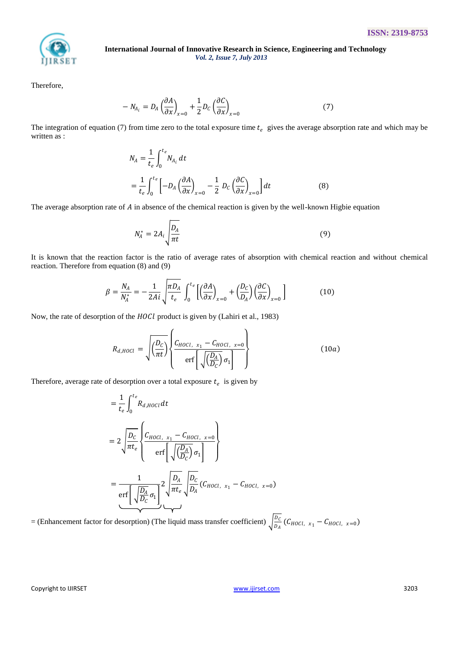

Therefore,

$$
-N_{A_i} = D_A \left(\frac{\partial A}{\partial x}\right)_{x=0} + \frac{1}{2} D_C \left(\frac{\partial C}{\partial x}\right)_{x=0}
$$
 (7)

The integration of equation (7) from time zero to the total exposure time  $t_e$  gives the average absorption rate and which may be written as :

$$
N_A = \frac{1}{t_e} \int_0^{t_e} N_{A_i} dt
$$
  
= 
$$
\frac{1}{t_e} \int_0^{t_e} \left[ -D_A \left( \frac{\partial A}{\partial x} \right)_{x=0} - \frac{1}{2} D_C \left( \frac{\partial C}{\partial x} \right)_{x=0} \right] dt
$$
 (8)

The average absorption rate of  $A$  in absence of the chemical reaction is given by the well-known Higbie equation

$$
N_A^* = 2A_i \sqrt{\frac{D_A}{\pi t}} \tag{9}
$$

It is known that the reaction factor is the ratio of average rates of absorption with chemical reaction and without chemical reaction. Therefore from equation (8) and (9)

$$
\beta = \frac{N_A}{N_A^*} = -\frac{1}{2Ai} \sqrt{\frac{\pi D_A}{t_e}} \int_0^{t_e} \left[ \left( \frac{\partial A}{\partial x} \right)_{x=0} + \left( \frac{D_C}{D_A} \right) \left( \frac{\partial C}{\partial x} \right)_{x=0} \right]
$$
(10)

Now, the rate of desorption of the *HOCl* product is given by (Lahiri et al., 1983)

$$
R_{d,HOL} = \sqrt{\left(\frac{D_C}{\pi t}\right)} \left\{ \frac{C_{HOL, x_1} - C_{HOL, x=0}}{\text{erf}\left[\sqrt{\left(\frac{D_A}{D_C}\right)} \sigma_1\right]}\right\}
$$
(10*a*)

Therefore, average rate of desorption over a total exposure  $t_e$  is given by

$$
= \frac{1}{t_e} \int_0^{t_e} R_{d,HOCl} dt
$$
  
\n
$$
= 2 \sqrt{\frac{D_c}{\pi t_e}} \left\{ \frac{C_{HOCl, x_1} - C_{HOCl, x=0}}{\text{erf} \left[ \sqrt{\frac{D_A}{D_C}} \right] \sigma_1} \right\}
$$
  
\n
$$
= \frac{1}{\text{erf} \left[ \sqrt{\frac{D_A}{D_C}} \sigma_1 \right]^2} 2 \sqrt{\frac{D_A}{\pi t_e}} \sqrt{\frac{D_C}{D_A}} (C_{HOCl, x_1} - C_{HOCl, x=0})
$$

= (Enhancement factor for desorption) (The liquid mass transfer coefficient)  $\int_{R_1}^{D_2}$  $\frac{D_C}{D_A}(C_{H O C l, x_1} - C_{H O C l, x=0})$ 

Copyright to IJIRSET 3203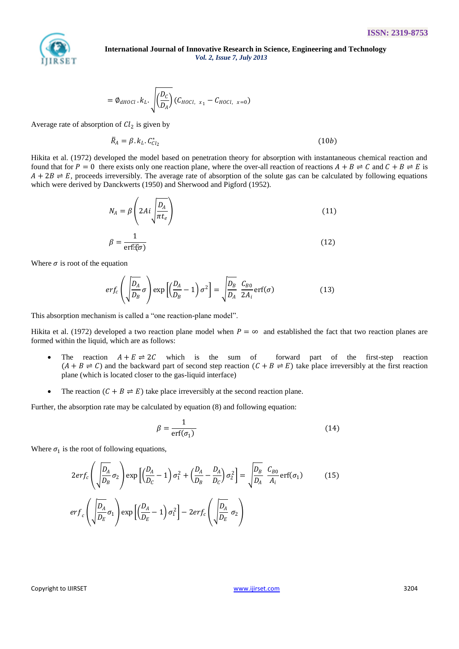

$$
= \phi_{\text{dHOL}} \cdot k_{L} \cdot \sqrt{\left(\frac{D_{C}}{D_{A}}\right)} \left(C_{HOL, x_{1}} - C_{HOL, x=0}\right)
$$

Average rate of absorption of  $Cl_2$  is given by

$$
\bar{R}_A = \beta. k_L. C_{Cl_2}^* \tag{10b}
$$

Hikita et al. (1972) developed the model based on penetration theory for absorption with instantaneous chemical reaction and found that for  $P = 0$  there exists only one reaction plane, where the over-all reaction of reactions  $A + B \rightleftharpoons C$  and  $C + B \rightleftharpoons E$  is  $A + 2B \rightleftharpoons E$ , proceeds irreversibly. The average rate of absorption of the solute gas can be calculated by following equations which were derived by Danckwerts (1950) and Sherwood and Pigford (1952).

$$
N_A = \beta \left( 2Ai \sqrt{\frac{D_A}{\pi t_e}} \right) \tag{11}
$$

$$
\beta = \frac{1}{\text{erf}(\xi \sigma)}\tag{12}
$$

Where  $\sigma$  is root of the equation

$$
erf_c\left(\sqrt{\frac{D_A}{D_B}}\sigma\right)\exp\left[\left(\frac{D_A}{D_B}-1\right)\sigma^2\right]=\sqrt{\frac{D_B}{D_A}}\frac{C_{B0}}{2A_i}\text{erf}(\sigma)\tag{13}
$$

This absorption mechanism is called a "one reaction-plane model".

Hikita et al. (1972) developed a two reaction plane model when  $P = \infty$  and established the fact that two reaction planes are formed within the liquid, which are as follows:

- The reaction  $A + E \rightleftharpoons 2C$  which is the sum of forward part of the first-step reaction  $(A + B \rightleftharpoons C)$  and the backward part of second step reaction  $(C + B \rightleftharpoons E)$  take place irreversibly at the first reaction plane (which is located closer to the gas-liquid interface)
- The reaction  $(C + B \rightleftharpoons E)$  take place irreversibly at the second reaction plane.

Further, the absorption rate may be calculated by equation (8) and following equation:

$$
\beta = \frac{1}{\text{erf}(\sigma_1)}\tag{14}
$$

Where  $\sigma_1$  is the root of following equations,

$$
2er f_c \left( \sqrt{\frac{D_A}{D_B}} \sigma_2 \right) \exp \left[ \left( \frac{D_A}{D_C} - 1 \right) \sigma_1^2 + \left( \frac{D_A}{D_B} - \frac{D_A}{D_C} \right) \sigma_2^2 \right] = \sqrt{\frac{D_B}{D_A}} \frac{C_{B0}}{A_i} \text{erf}(\sigma_1)
$$
(15)  

$$
er f_c \left( \sqrt{\frac{D_A}{D_E}} \sigma_1 \right) \exp \left[ \left( \frac{D_A}{D_E} - 1 \right) \sigma_1^2 \right] - 2er f_c \left( \sqrt{\frac{D_A}{D_E}} \sigma_2 \right)
$$

Copyright to IJIRSET [www.ijirset.com](http://www.ijirset.com/) 3204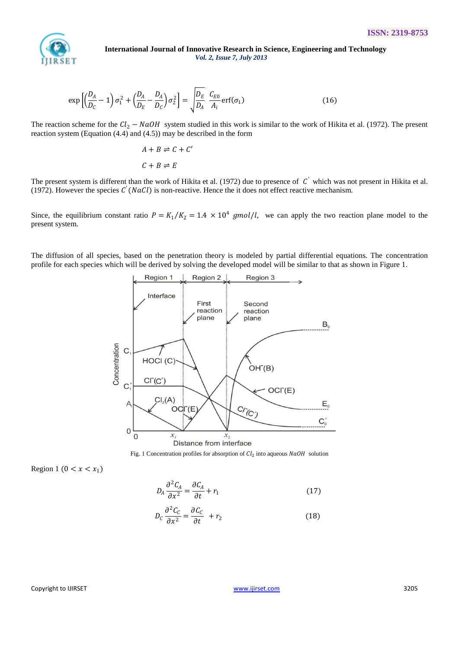

$$
\exp\left[\left(\frac{D_A}{D_C} - 1\right)\sigma_1^2 + \left(\frac{D_A}{D_E} - \frac{D_A}{D_C}\right)\sigma_2^2\right] = \sqrt{\frac{D_E}{D_A}} \frac{C_{E0}}{A_i} \operatorname{erf}(\sigma_1)
$$
\n(16)

The reaction scheme for the  $Cl_2$  – NaOH system studied in this work is similar to the work of Hikita et al. (1972). The present reaction system (Equation (4.4) and (4.5)) may be described in the form

$$
A + B \rightleftharpoons C + C'
$$
  

$$
C + B \rightleftharpoons E
$$

The present system is different than the work of Hikita et al. (1972) due to presence of  $C'$  which was not present in Hikita et al. (1972). However the species  $C'(NaCl)$  is non-reactive. Hence the it does not effect reactive mechanism.

Since, the equilibrium constant ratio  $P = K_1/K_2 = 1.4 \times 10^4$  gmol/l, we can apply the two reaction plane model to the present system.

The diffusion of all species, based on the penetration theory is modeled by partial differential equations. The concentration profile for each species which will be derived by solving the developed model will be similar to that as shown in Figure 1.



Fig. 1 Concentration profiles for absorption of  $Cl_2$  into aqueous  $NaOH$  solution

$$
Region 1 (0 < x < x_1)
$$

$$
D_A \frac{\partial^2 C_A}{\partial x^2} = \frac{\partial C_A}{\partial t} + r_1 \tag{17}
$$

$$
D_C \frac{\partial^2 C_C}{\partial x^2} = \frac{\partial C_C}{\partial t} + r_2 \tag{18}
$$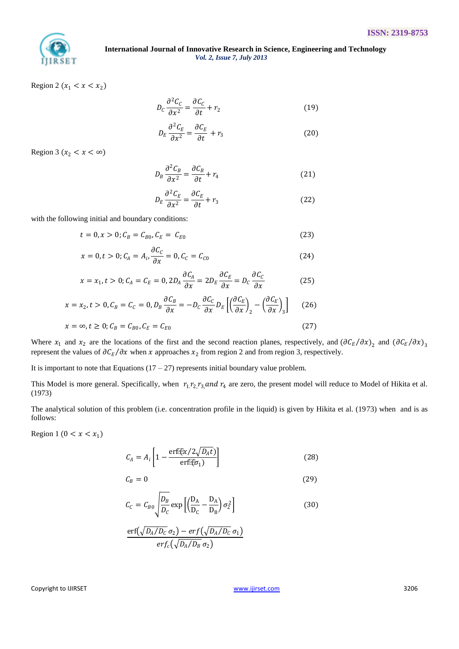

Region 2 ( $x_1 < x < x_2$ )

$$
D_C \frac{\partial^2 C_C}{\partial x^2} = \frac{\partial C_C}{\partial t} + r_2 \tag{19}
$$

$$
D_E \frac{\partial^2 C_E}{\partial x^2} = \frac{\partial C_E}{\partial t} + r_3 \tag{20}
$$

Region 3 ( $x_2 < x < \infty$ )

$$
D_B \frac{\partial^2 C_B}{\partial x^2} = \frac{\partial C_B}{\partial t} + r_4 \tag{21}
$$

$$
D_E \frac{\partial^2 C_E}{\partial x^2} = \frac{\partial C_E}{\partial t} + r_3 \tag{22}
$$

with the following initial and boundary conditions:

$$
t = 0, x > 0; C_B = C_{B0}, C_E = C_{E0}
$$
\n(23)

$$
x = 0, t > 0; C_A = A_i, \frac{\partial C_C}{\partial x} = 0, C_C = C_{C0}
$$
 (24)

$$
x = x_1, t > 0; C_A = C_E = 0, 2D_A \frac{\partial C_A}{\partial x} = 2D_E \frac{\partial C_E}{\partial x} = D_C \frac{\partial C_C}{\partial x}
$$
(25)

$$
x = x_2, t > 0, C_B = C_C = 0, D_B \frac{\partial C_B}{\partial x} = -D_C \frac{\partial C_C}{\partial x} D_E \left[ \left( \frac{\partial C_E}{\partial x} \right)_2 - \left( \frac{\partial C_E}{\partial x} \right)_3 \right] \tag{26}
$$

$$
x = \infty, t \ge 0; C_B = C_{B0}, C_E = C_{E0}
$$
\n(27)

Where  $x_1$  and  $x_2$  are the locations of the first and the second reaction planes, respectively, and  $(\partial C_E/\partial x)_2$  and  $(\partial C_E/\partial x)_3$ represent the values of  $\partial \mathcal{C}_E / \partial x$  when x approaches  $x_2$  from region 2 and from region 3, respectively.

It is important to note that Equations  $(17 – 27)$  represents initial boundary value problem.

This Model is more general. Specifically, when  $r_1 r_2 r_3$  and  $r_4$  are zero, the present model will reduce to Model of Hikita et al. (1973)

The analytical solution of this problem (i.e. concentration profile in the liquid) is given by Hikita et al. (1973) when and is as follows:

Region 1 (0 <  $x < x_1$ )

$$
C_A = A_i \left[ 1 - \frac{\text{erf}(\mathbf{r}/2\sqrt{D_A t})}{\text{erf}(\mathbf{r})} \right]
$$
 (28)

$$
C_B = 0 \tag{29}
$$

$$
C_C = C_{B0} \sqrt{\frac{D_B}{D_C}} \exp\left[ \left( \frac{D_A}{D_C} - \frac{D_A}{D_B} \right) \sigma_2^2 \right]
$$
 (30)

$$
\frac{\text{erf}(\sqrt{D_A/D_C} \sigma_2) - \text{erf}(\sqrt{D_A/D_C} \sigma_1)}{\text{erf}_c(\sqrt{D_A/D_B} \sigma_2)}
$$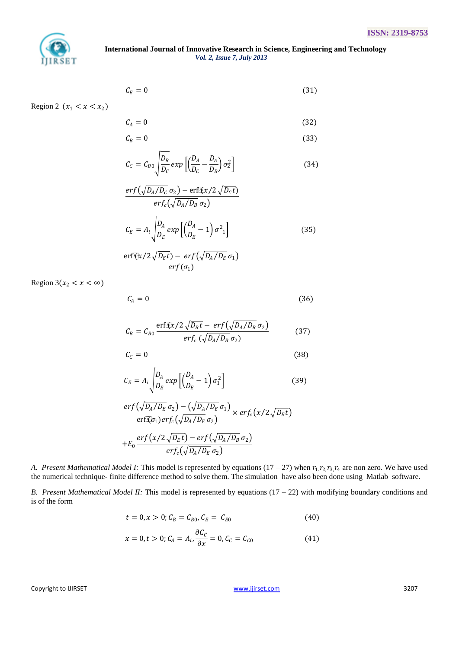

$$
\mathcal{C}_E = 0 \tag{31}
$$

Region 2  $(x_1 < x < x_2)$ 

$$
C_A = 0 \tag{32}
$$

$$
C_B = 0 \tag{33}
$$

$$
C_C = C_{B0} \sqrt{\frac{D_B}{D_C}} exp\left[ \left( \frac{D_A}{D_C} - \frac{D_A}{D_B} \right) \sigma_2^2 \right]
$$
 (34)

$$
\frac{erf(\sqrt{D_A/D_C} \sigma_2) - erf(\sqrt{\alpha}/2 \sqrt{D_C t})}{erf_c(\sqrt{D_A/D_B} \sigma_2)}
$$

$$
C_E = A_i \sqrt{\frac{D_A}{D_E}} exp\left[\left(\frac{D_A}{D_E} - 1\right) \sigma_1^2\right]
$$
(35)

$$
\frac{\text{erf}(\bar{x}/2\sqrt{D_E t}) - \text{erf}(\sqrt{D_A/D_E} \sigma_1)}{\text{erf}(\sigma_1)}
$$

Region  $3(x_2 < x < \infty)$ 

$$
C_A = 0 \tag{36}
$$

$$
C_B = C_{B0} \frac{\text{erf}(\sqrt{2\sqrt{D_B t}} - \text{erf}(\sqrt{D_A/D_B} \sigma_2))}{\text{erf}_c(\sqrt{D_A/D_B} \sigma_2)}
$$
(37)

$$
C_{\mathcal{C}} = 0 \tag{38}
$$

$$
C_E = A_i \sqrt{\frac{D_A}{D_E}} \exp\left[\left(\frac{D_A}{D_E} - 1\right) \sigma_1^2\right]
$$
 (39)

$$
\frac{erf(\sqrt{D_A/D_E} \sigma_2) - (\sqrt{D_A/D_E} \sigma_1)}{erf(\sigma_1)erf_c(\sqrt{D_A/D_E} \sigma_2)} \times erf_c(x/2\sqrt{D_E t})
$$
  
+
$$
E_0 \frac{erf(x/2\sqrt{D_E t}) - erf(\sqrt{D_A/D_B} \sigma_2)}{erf_c(\sqrt{D_A/D_E} \sigma_2)}
$$

*A. Present Mathematical Model I:* This model is represented by equations  $(17 - 27)$  when  $r_1$ ,  $r_2$ ,  $r_3$ ,  $r_4$  are non zero. We have used the numerical technique- finite difference method to solve them. The simulation have also been done using Matlab software.

*B. Present Mathematical Model II:* This model is represented by equations (17 – 22) with modifying boundary conditions and is of the form

$$
t = 0, x > 0; C_B = C_{B0}, C_E = C_{E0}
$$
 (40)

$$
x = 0, t > 0; C_A = A_i, \frac{\partial C_C}{\partial x} = 0, C_C = C_{C0}
$$
 (41)

Copyright to IJIRSET [www.ijirset.com](http://www.ijirset.com/) 3207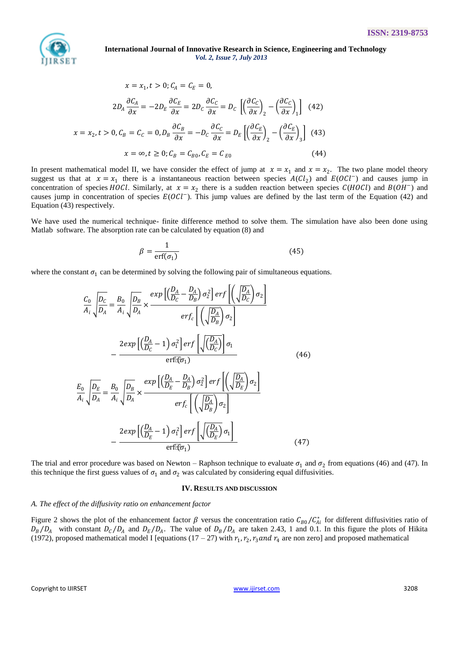

$$
x = x_1, t > 0; C_A = C_E = 0,
$$
  
\n
$$
2D_A \frac{\partial C_A}{\partial x} = -2D_E \frac{\partial C_E}{\partial x} = 2D_C \frac{\partial C_C}{\partial x} = D_C \left[ \left( \frac{\partial C_C}{\partial x} \right)_2 - \left( \frac{\partial C_C}{\partial x} \right)_1 \right] (42)
$$
  
\n
$$
x = x_2, t > 0, C_B = C_C = 0, D_B \frac{\partial C_B}{\partial x} = -D_C \frac{\partial C_C}{\partial x} = D_E \left[ \left( \frac{\partial C_E}{\partial x} \right)_2 - \left( \frac{\partial C_E}{\partial x} \right)_3 \right] (43)
$$
  
\n
$$
x = \infty, t \ge 0; C_B = C_{B0}, C_E = C_{E0}
$$
 (44)

In present mathematical model II, we have consider the effect of jump at  $x = x_1$  and  $x = x_2$ . The two plane model theory suggest us that at  $x = x_1$  there is a instantaneous reaction between species  $A(Cl_2)$  and  $E(OCl^-)$  and causes jump in concentration of species *HOCl*. Similarly, at  $x = x_2$  there is a sudden reaction between species  $C(HOCl)$  and  $B(OH^-)$  and causes jump in concentration of species  $E(OCl^-)$ . This jump values are defined by the last term of the Equation (42) and Equation (43) respectively.

We have used the numerical technique- finite difference method to solve them. The simulation have also been done using Matlab software. The absorption rate can be calculated by equation (8) and

$$
\beta = \frac{1}{\text{erf}(\sigma_1)}\tag{45}
$$

where the constant  $\sigma_1$  can be determined by solving the following pair of simultaneous equations.

$$
\frac{C_0}{A_i} \sqrt{\frac{D_C}{D_A}} = \frac{B_0}{A_i} \sqrt{\frac{D_B}{D_A}} \times \frac{exp\left[\left(\frac{D_A}{D_C} - \frac{D_A}{D_B}\right)\sigma_2^2\right] erf\left[\left(\sqrt{\frac{D_A}{D_C}}\right)\sigma_2\right]}{erf_c\left[\left(\sqrt{\frac{D_A}{D_B}}\right)\sigma_2\right]}
$$
\n
$$
-\frac{2exp\left[\left(\frac{D_A}{D_C} - 1\right)\sigma_1^2\right] erf\left[\sqrt{\left(\frac{D_A}{D_C}\right)}\right] \sigma_1}{erf(\sigma_1)} \qquad (46)
$$
\n
$$
\frac{E_0}{A_i} \sqrt{\frac{D_E}{D_A}} = \frac{B_0}{A_i} \sqrt{\frac{D_B}{D_A}} \times \frac{exp\left[\left(\frac{D_A}{D_E} - \frac{D_A}{D_B}\right)\sigma_2^2\right] erf\left[\left(\sqrt{\frac{D_A}{D_E}}\right)\sigma_2\right]}{erf_c\left[\left(\sqrt{\frac{D_A}{D_B}}\right)\sigma_2\right]}
$$
\n
$$
-\frac{2exp\left[\left(\frac{D_A}{D_E} - 1\right)\sigma_1^2\right] erf\left[\sqrt{\left(\frac{D_A}{D_E}\right)}\sigma_1\right]}{erf(\sigma_1)} \qquad (47)
$$

The trial and error procedure was based on Newton – Raphson technique to evaluate  $\sigma_1$  and  $\sigma_2$  from equations (46) and (47). In this technique the first guess values of  $\sigma_1$  and  $\sigma_2$  was calculated by considering equal diffusivities.

#### **IV. RESULTS AND DISCUSSION**

#### *A. The effect of the diffusivity ratio on enhancement factor*

Figure 2 shows the plot of the enhancement factor  $\beta$  versus the concentration ratio  $C_{B0}/C_{Ai}^*$  for different diffusivities ratio of  $D_B/D_A$  with constant  $D_C/D_A$  and  $D_E/D_A$ . The value of  $D_B/D_A$  are taken 2.43, 1 and 0.1. In this figure the plots of Hikita (1972), proposed mathematical model I [equations  $(17-27)$  with  $r_1, r_2, r_3$  and  $r_4$  are non zero] and proposed mathematical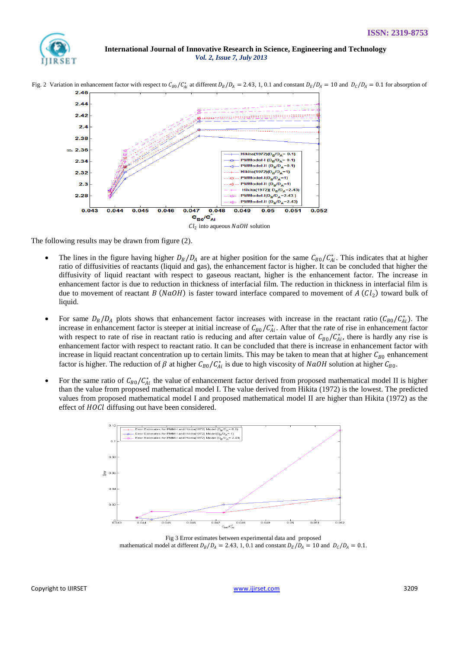



Fig. 2 Variation in enhancement factor with respect to  $C_{B0}/C_{Ai}^{*}$  at different  $D_B/D_A = 2.43$ , 1, 0.1 and constant  $D_E/D_A = 10$  and  $D_C/D_A = 0.1$  for absorption of

The following results may be drawn from figure (2).

- The lines in the figure having higher  $D_B/D_A$  are at higher position for the same  $C_{B0}/C_{Ai}^*$ . This indicates that at higher ratio of diffusivities of reactants (liquid and gas), the enhancement factor is higher. It can be concluded that higher the diffusivity of liquid reactant with respect to gaseous reactant, higher is the enhancement factor. The increase in enhancement factor is due to reduction in thickness of interfacial film. The reduction in thickness in interfacial film is due to movement of reactant  $B(NaOH)$  is faster toward interface compared to movement of  $A(Cl_2)$  toward bulk of liquid.
- For same  $D_B/D_A$  plots shows that enhancement factor increases with increase in the reactant ratio  $(C_{B0}/C_{Ai}^*)$ . The increase in enhancement factor is steeper at initial increase of  $C_{B0}/C_{Ai}^*$ . After that the rate of rise in enhancement factor with respect to rate of rise in reactant ratio is reducing and after certain value of  $C_{B0}/C_{Ai}^{*}$ , there is hardly any rise is enhancement factor with respect to reactant ratio. It can be concluded that there is increase in enhancement factor with increase in liquid reactant concentration up to certain limits. This may be taken to mean that at higher  $C_{B0}$  enhancement factor is higher. The reduction of  $\beta$  at higher  $C_{B0}/C_{Ai}^{*}$  is due to high viscosity of  $NaOH$  solution at higher  $C_{B0}$ .
- For the same ratio of  $C_{B0}/C_{Ai}^{*}$  the value of enhancement factor derived from proposed mathematical model II is higher than the value from proposed mathematical model I. The value derived from Hikita (1972) is the lowest. The predicted values from proposed mathematical model I and proposed mathematical model II are higher than Hikita (1972) as the effect of HOCl diffusing out have been considered.



Fig 3 Error estimates between experimental data and proposed mathematical model at different  $D_R/D_A = 2.43, 1, 0.1$  and constant  $D_R/D_A = 10$  and  $D_C/D_A = 0.1$ .

Copyright to IJIRSET [www.ijirset.com](http://www.ijirset.com/) 3209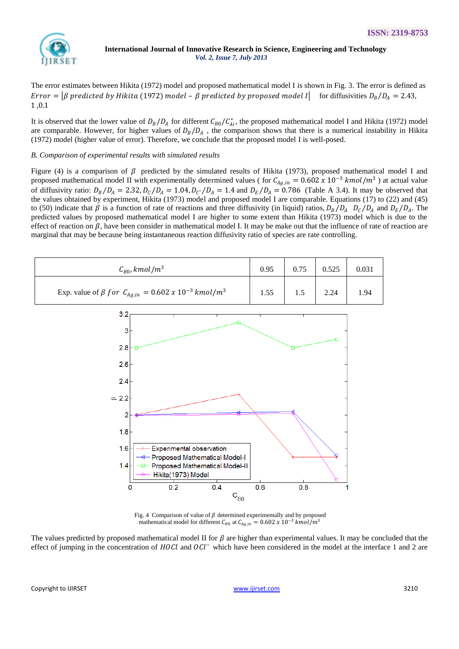

The error estimates between Hikita (1972) model and proposed mathematical model I is shown in Fig. 3. The error is defined as Error =  $\beta$  predicted by Hikita (1972) model -  $\beta$  predicted by proposed model I for diffusivities  $D_B/D_A = 2.43$ , 1 ,0.1

It is observed that the lower value of  $D_B/D_A$  for different  $C_{B0}/C_{Ai}^*$ , the proposed mathematical model I and Hikita (1972) model are comparable. However, for higher values of  $D_B/D_A$ , the comparison shows that there is a numerical instability in Hikita (1972) model (higher value of error). Therefore, we conclude that the proposed model I is well-posed.

## *B. Comparison of experimental results with simulated results*

Figure (4) is a comparison of  $\beta$  predicted by the simulated results of Hikita (1973), proposed mathematical model I and proposed mathematical model II with experimentally determined values ( for  $C_{Ag,in} = 0.602 \times 10^{-3}$  *kmol*/m<sup>3</sup>) at actual value of diffusivity ratio:  $D_B/D_A = 2.32$ ,  $D_C/D_A = 1.04$ ,  $D_{C'}/D_A = 1.4$  and  $D_E/D_A = 0.786$  (Table A 3.4). It may be observed that the values obtained by experiment, Hikita (1973) model and proposed model I are comparable. Equations (17) to (22) and (45) to (50) indicate that  $\beta$  is a function of rate of reactions and three diffusivity (in liquid) ratios,  $D_B/D_A$   $D_C/D_A$  and  $D_E/D_A$ . The predicted values by proposed mathematical model I are higher to some extent than Hikita (1973) model which is due to the effect of reaction on  $\beta$ , have been consider in mathematical model I. It may be make out that the influence of rate of reaction are marginal that may be because being instantaneous reaction diffusivity ratio of species are rate controlling.

| $\mathcal{C}_{B0}$ , kmol/m <sup>3</sup>                                         | 0.95 | 0.75 | 0.525 | 0.031 |
|----------------------------------------------------------------------------------|------|------|-------|-------|
| Exp. value of $\beta$ for $C_{Ag,in} = 0.602 \times 10^{-3}$ kmol/m <sup>3</sup> | 1.55 |      | 2.24  | 1.94  |



Fig. 4 Comparison of value of  $\beta$  determined experimentally and by proposed mathematical model for different  $C_{B0}$  at  $C_{Ag,in} = 0.602 \times 10^{-3}$  kmol/m<sup>3</sup>

The values predicted by proposed mathematical model II for  $\beta$  are higher than experimental values. It may be concluded that the effect of jumping in the concentration of  $H OCl$  and  $OCl^-$  which have been considered in the model at the interface 1 and 2 are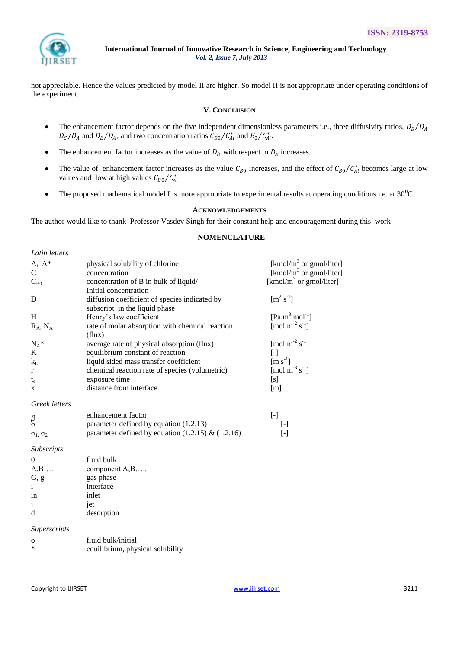

not appreciable. Hence the values predicted by model II are higher. So model II is not appropriate under operating conditions of the experiment.

# **V. CONCLUSION**

- The enhancement factor depends on the five independent dimensionless parameters i.e., three diffusivity ratios,  $D_B/D_A$  $D_C/D_A$  and  $D_E/D_A$ , and two concentration ratios  $C_{B0}/C_{Ai}^*$  and  $E_0/C_{Ai}^*$ .
- The enhancement factor increases as the value of  $D_B$  with respect to  $D_A$  increases.
- The value of enhancement factor increases as the value  $C_{B0}$  increases, and the effect of  $C_{B0}/C_{Ai}^{*}$  becomes large at low values and low at high values  $C_{B0}/C_{Ai}^*$
- The proposed mathematical model I is more appropriate to experimental results at operating conditions i.e. at  $30^{\circ}$ C.

# **ACKNOWLEDGEMENTS**

The author would like to thank Professor Vasdev Singh for their constant help and encouragement during this work

# **NOMENCLATURE**

| Latin letters           |                                                           |                                        |
|-------------------------|-----------------------------------------------------------|----------------------------------------|
| $A_i, A^*$              | physical solubility of chlorine                           | [kmol/m <sup>3</sup> or gmol/liter]    |
| $\overline{C}$          | concentration                                             | [kmol/m <sup>3</sup> or gmol/liter]    |
| $C_{B0}$                | concentration of B in bulk of liquid/                     | [kmol/m <sup>3</sup> or gmol/liter]    |
|                         | Initial concentration                                     |                                        |
| D                       | diffusion coefficient of species indicated by             | $\rm [m^2\,s^{-1}]$                    |
|                         | subscript in the liquid phase                             |                                        |
| H                       | Henry's law coefficient                                   | [Pa m <sup>3</sup> mol <sup>-1</sup> ] |
| $R_A$ , $N_A$           | rate of molar absorption with chemical reaction<br>(flux) | [mol m <sup>-2</sup> s <sup>-1</sup> ] |
| $N_A^*$                 | average rate of physical absorption (flux)                | [mol m <sup>-2</sup> s <sup>-1</sup> ] |
| K                       | equilibrium constant of reaction                          | $[\cdot]$                              |
| $k_L$                   | liquid sided mass transfer coefficient                    | $\left[\text{m s}^{-1}\right]$         |
| $\mathbf{r}$            | chemical reaction rate of species (volumetric)            | [mol m <sup>-3</sup> s <sup>-1</sup> ] |
| $t_{e}$                 | exposure time                                             | [s]                                    |
| X                       | distance from interface                                   | [m]                                    |
| Greek letters           |                                                           |                                        |
|                         | enhancement factor                                        | $[\cdot]$                              |
| $\frac{\beta}{\sigma}$  | parameter defined by equation (1.2.13)                    | $[\cdot]$                              |
| $\sigma_1$ , $\sigma_2$ | parameter defined by equation $(1.2.15)$ & $(1.2.16)$     | $[\cdot]$                              |
| Subscripts              |                                                           |                                        |
| $\overline{0}$          | fluid bulk                                                |                                        |
| A,B                     | component A,B                                             |                                        |
| G, g                    | gas phase                                                 |                                        |
| i.                      | interface                                                 |                                        |
| in                      | inlet                                                     |                                        |
| j                       | jet                                                       |                                        |
| d                       | desorption                                                |                                        |
| Superscripts            |                                                           |                                        |
| $\mathbf 0$             | fluid bulk/initial                                        |                                        |
| *                       | equilibrium, physical solubility                          |                                        |
|                         |                                                           |                                        |